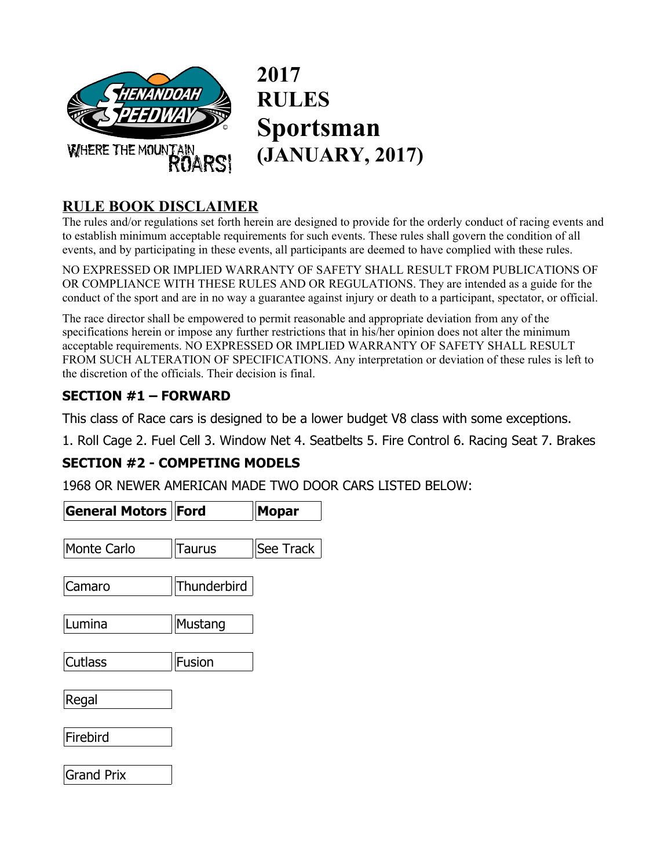

**2017 RULES Sportsman (JANUARY, 2017)** 

## **RULE BOOK DISCLAIMER**

The rules and/or regulations set forth herein are designed to provide for the orderly conduct of racing events and to establish minimum acceptable requirements for such events. These rules shall govern the condition of all events, and by participating in these events, all participants are deemed to have complied with these rules.

NO EXPRESSED OR IMPLIED WARRANTY OF SAFETY SHALL RESULT FROM PUBLICATIONS OF OR COMPLIANCE WITH THESE RULES AND OR REGULATIONS. They are intended as a guide for the conduct of the sport and are in no way a guarantee against injury or death to a participant, spectator, or official.

The race director shall be empowered to permit reasonable and appropriate deviation from any of the specifications herein or impose any further restrictions that in his/her opinion does not alter the minimum acceptable requirements. NO EXPRESSED OR IMPLIED WARRANTY OF SAFETY SHALL RESULT FROM SUCH ALTERATION OF SPECIFICATIONS. Any interpretation or deviation of these rules is left to the discretion of the officials. Their decision is final.

#### **SECTION #1 – FORWARD**

This class of Race cars is designed to be a lower budget V8 class with some exceptions.

1. Roll Cage 2. Fuel Cell 3. Window Net 4. Seatbelts 5. Fire Control 6. Racing Seat 7. Brakes

## **SECTION #2 - COMPETING MODELS**

1968 OR NEWER AMERICAN MADE TWO DOOR CARS LISTED BELOW:

| <b>General Motors   Ford</b> |             | <b>Mopar</b> |
|------------------------------|-------------|--------------|
|                              |             |              |
| <b>Monte Carlo</b>           | Taurus      | See Track    |
|                              |             |              |
| Camaro                       | Thunderbird |              |
|                              |             |              |
| Lumina                       | Mustang     |              |
|                              |             |              |
| Cutlass                      | Fusion      |              |
|                              |             |              |
| Regal                        |             |              |
|                              |             |              |
| Firebird                     |             |              |
|                              |             |              |
| <b>Grand Prix</b>            |             |              |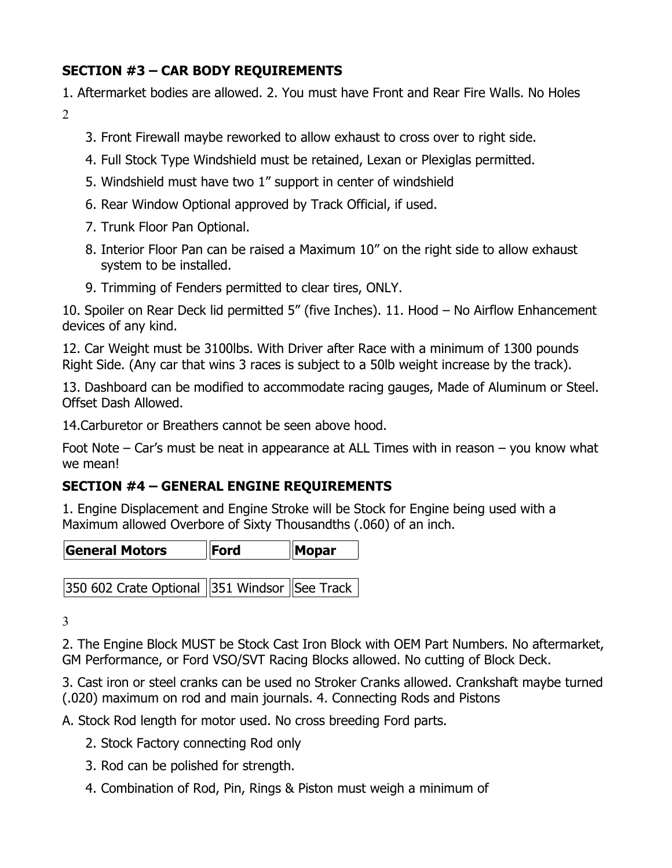## **SECTION #3 – CAR BODY REQUIREMENTS**

1. Aftermarket bodies are allowed. 2. You must have Front and Rear Fire Walls. No Holes

2

- 3. Front Firewall maybe reworked to allow exhaust to cross over to right side.
- 4. Full Stock Type Windshield must be retained, Lexan or Plexiglas permitted.
- 5. Windshield must have two 1" support in center of windshield
- 6. Rear Window Optional approved by Track Official, if used.
- 7. Trunk Floor Pan Optional.
- 8. Interior Floor Pan can be raised a Maximum 10" on the right side to allow exhaust system to be installed.
- 9. Trimming of Fenders permitted to clear tires, ONLY.

10. Spoiler on Rear Deck lid permitted 5" (five Inches). 11. Hood – No Airflow Enhancement devices of any kind.

12. Car Weight must be 3100lbs. With Driver after Race with a minimum of 1300 pounds Right Side. (Any car that wins 3 races is subject to a 50lb weight increase by the track).

13. Dashboard can be modified to accommodate racing gauges, Made of Aluminum or Steel. Offset Dash Allowed.

14.Carburetor or Breathers cannot be seen above hood.

Foot Note – Car's must be neat in appearance at ALL Times with in reason – you know what we mean!

## **SECTION #4 – GENERAL ENGINE REQUIREMENTS**

1. Engine Displacement and Engine Stroke will be Stock for Engine being used with a Maximum allowed Overbore of Sixty Thousandths (.060) of an inch.

| <b>General Motors</b> | <b>Ford</b> | Mopar |
|-----------------------|-------------|-------|
|-----------------------|-------------|-------|

| 350 602 Crate Optional 351 Windsor See Track |  |
|----------------------------------------------|--|
|----------------------------------------------|--|

3

2. The Engine Block MUST be Stock Cast Iron Block with OEM Part Numbers. No aftermarket, GM Performance, or Ford VSO/SVT Racing Blocks allowed. No cutting of Block Deck.

3. Cast iron or steel cranks can be used no Stroker Cranks allowed. Crankshaft maybe turned (.020) maximum on rod and main journals. 4. Connecting Rods and Pistons

A. Stock Rod length for motor used. No cross breeding Ford parts.

- 2. Stock Factory connecting Rod only
- 3. Rod can be polished for strength.
- 4. Combination of Rod, Pin, Rings & Piston must weigh a minimum of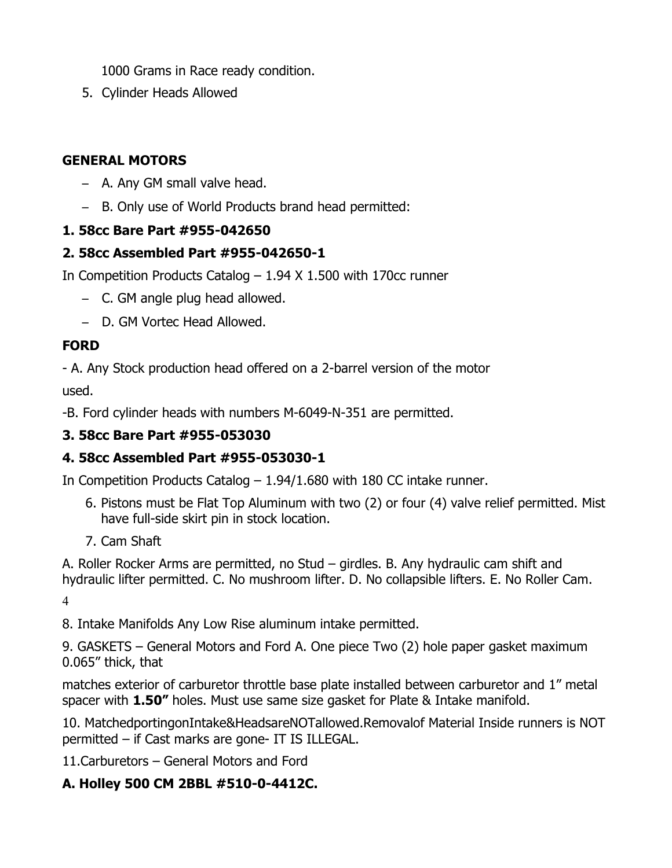1000 Grams in Race ready condition.

5. Cylinder Heads Allowed

### **GENERAL MOTORS**

- A. Any GM small valve head.
- B. Only use of World Products brand head permitted:

#### **1. 58cc Bare Part #955-042650**

#### **2. 58cc Assembled Part #955-042650-1**

In Competition Products Catalog – 1.94 X 1.500 with 170cc runner

- C. GM angle plug head allowed.
- D. GM Vortec Head Allowed.

#### **FORD**

- A. Any Stock production head offered on a 2-barrel version of the motor

used.

-B. Ford cylinder heads with numbers M-6049-N-351 are permitted.

### **3. 58cc Bare Part #955-053030**

#### **4. 58cc Assembled Part #955-053030-1**

In Competition Products Catalog – 1.94/1.680 with 180 CC intake runner.

- 6. Pistons must be Flat Top Aluminum with two (2) or four (4) valve relief permitted. Mist have full-side skirt pin in stock location.
- 7. Cam Shaft

A. Roller Rocker Arms are permitted, no Stud – girdles. B. Any hydraulic cam shift and hydraulic lifter permitted. C. No mushroom lifter. D. No collapsible lifters. E. No Roller Cam.

4

8. Intake Manifolds Any Low Rise aluminum intake permitted.

9. GASKETS – General Motors and Ford A. One piece Two (2) hole paper gasket maximum 0.065" thick, that

matches exterior of carburetor throttle base plate installed between carburetor and 1" metal spacer with **1.50"** holes. Must use same size gasket for Plate & Intake manifold.

10. MatchedportingonIntake&HeadsareNOTallowed.Removalof Material Inside runners is NOT permitted – if Cast marks are gone- IT IS ILLEGAL.

11.Carburetors – General Motors and Ford

## **A. Holley 500 CM 2BBL #510-0-4412C.**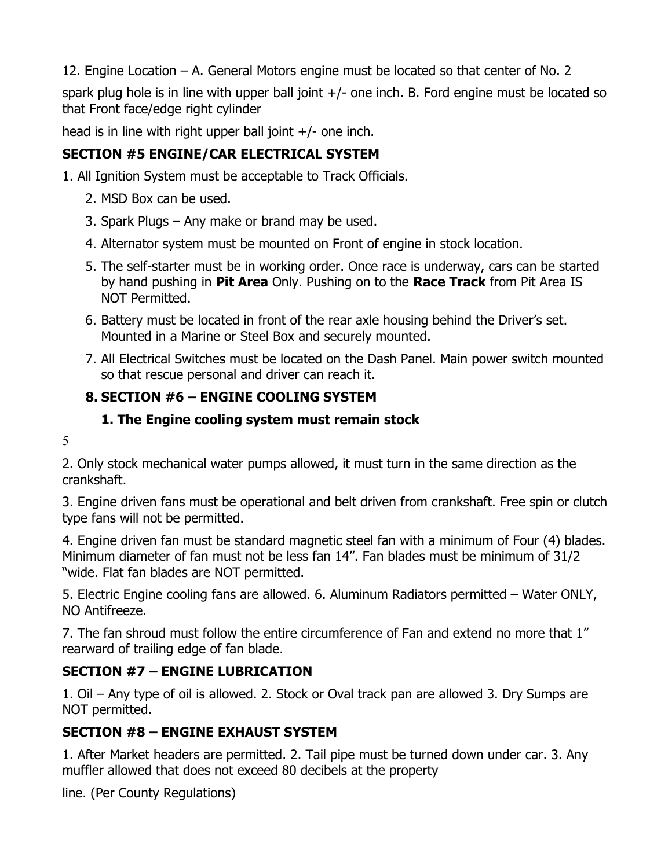12. Engine Location – A. General Motors engine must be located so that center of No. 2

spark plug hole is in line with upper ball joint  $+/-$  one inch. B. Ford engine must be located so that Front face/edge right cylinder

head is in line with right upper ball joint +/- one inch.

## **SECTION #5 ENGINE/CAR ELECTRICAL SYSTEM**

1. All Ignition System must be acceptable to Track Officials.

- 2. MSD Box can be used.
- 3. Spark Plugs Any make or brand may be used.
- 4. Alternator system must be mounted on Front of engine in stock location.
- 5. The self-starter must be in working order. Once race is underway, cars can be started by hand pushing in **Pit Area** Only. Pushing on to the **Race Track** from Pit Area IS NOT Permitted.
- 6. Battery must be located in front of the rear axle housing behind the Driver's set. Mounted in a Marine or Steel Box and securely mounted.
- 7. All Electrical Switches must be located on the Dash Panel. Main power switch mounted so that rescue personal and driver can reach it.

# **8. SECTION #6 – ENGINE COOLING SYSTEM**

## **1. The Engine cooling system must remain stock**

5

2. Only stock mechanical water pumps allowed, it must turn in the same direction as the crankshaft.

3. Engine driven fans must be operational and belt driven from crankshaft. Free spin or clutch type fans will not be permitted.

4. Engine driven fan must be standard magnetic steel fan with a minimum of Four (4) blades. Minimum diameter of fan must not be less fan 14". Fan blades must be minimum of 31/2 "wide. Flat fan blades are NOT permitted.

5. Electric Engine cooling fans are allowed. 6. Aluminum Radiators permitted – Water ONLY, NO Antifreeze.

7. The fan shroud must follow the entire circumference of Fan and extend no more that 1" rearward of trailing edge of fan blade.

# **SECTION #7 – ENGINE LUBRICATION**

1. Oil – Any type of oil is allowed. 2. Stock or Oval track pan are allowed 3. Dry Sumps are NOT permitted.

## **SECTION #8 – ENGINE EXHAUST SYSTEM**

1. After Market headers are permitted. 2. Tail pipe must be turned down under car. 3. Any muffler allowed that does not exceed 80 decibels at the property

line. (Per County Regulations)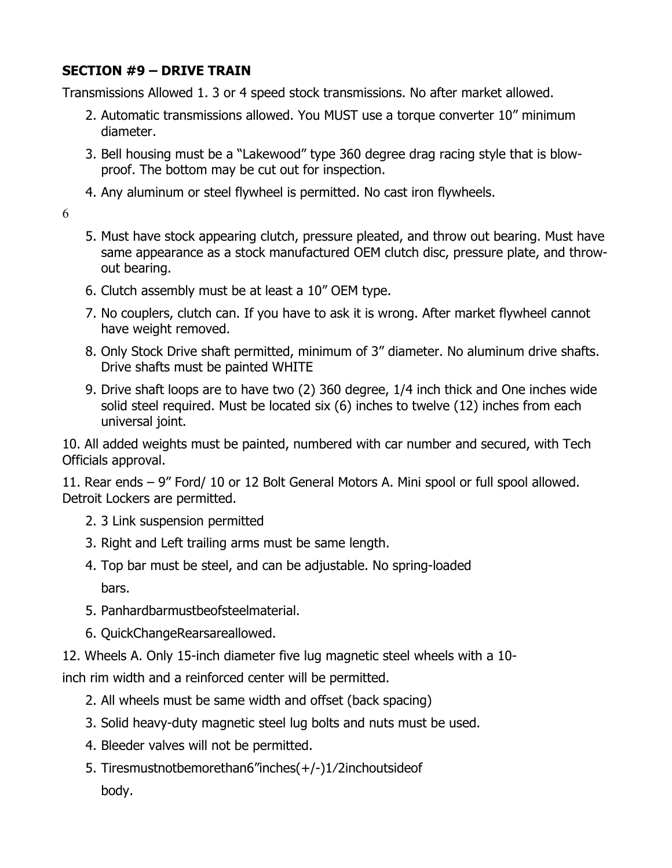### **SECTION #9 – DRIVE TRAIN**

Transmissions Allowed 1. 3 or 4 speed stock transmissions. No after market allowed.

- 2. Automatic transmissions allowed. You MUST use a torque converter 10" minimum diameter.
- 3. Bell housing must be a "Lakewood" type 360 degree drag racing style that is blowproof. The bottom may be cut out for inspection.
- 4. Any aluminum or steel flywheel is permitted. No cast iron flywheels.
- 6
- 5. Must have stock appearing clutch, pressure pleated, and throw out bearing. Must have same appearance as a stock manufactured OEM clutch disc, pressure plate, and throwout bearing.
- 6. Clutch assembly must be at least a 10" OEM type.
- 7. No couplers, clutch can. If you have to ask it is wrong. After market flywheel cannot have weight removed.
- 8. Only Stock Drive shaft permitted, minimum of 3" diameter. No aluminum drive shafts. Drive shafts must be painted WHITE
- 9. Drive shaft loops are to have two (2) 360 degree, 1/4 inch thick and One inches wide solid steel required. Must be located six (6) inches to twelve (12) inches from each universal joint.

10. All added weights must be painted, numbered with car number and secured, with Tech Officials approval.

11. Rear ends – 9" Ford/ 10 or 12 Bolt General Motors A. Mini spool or full spool allowed. Detroit Lockers are permitted.

- 2. 3 Link suspension permitted
- 3. Right and Left trailing arms must be same length.
- 4. Top bar must be steel, and can be adjustable. No spring-loaded bars.
- 5. Panhardbarmustbeofsteelmaterial.
- 6. QuickChangeRearsareallowed.
- 12. Wheels A. Only 15-inch diameter five lug magnetic steel wheels with a 10-

inch rim width and a reinforced center will be permitted.

- 2. All wheels must be same width and offset (back spacing)
- 3. Solid heavy-duty magnetic steel lug bolts and nuts must be used.
- 4. Bleeder valves will not be permitted.
- 5. Tiresmustnotbemorethan6"inches(+/-)1⁄2inchoutsideof body.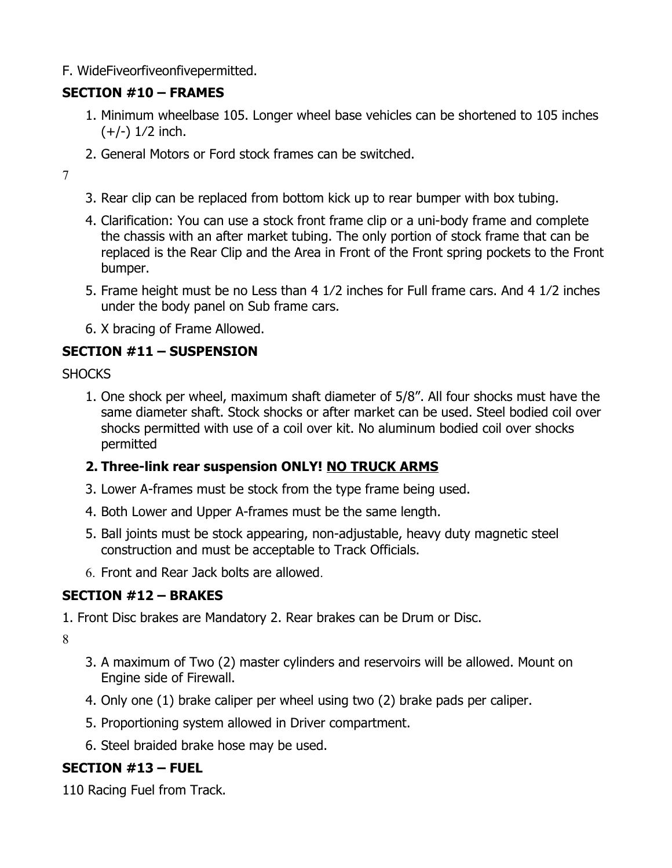F. WideFiveorfiveonfivepermitted.

## **SECTION #10 – FRAMES**

- 1. Minimum wheelbase 105. Longer wheel base vehicles can be shortened to 105 inches  $(+/-)$  1/2 inch.
- 2. General Motors or Ford stock frames can be switched.
- 7
- 3. Rear clip can be replaced from bottom kick up to rear bumper with box tubing.
- 4. Clarification: You can use a stock front frame clip or a uni-body frame and complete the chassis with an after market tubing. The only portion of stock frame that can be replaced is the Rear Clip and the Area in Front of the Front spring pockets to the Front bumper.
- 5. Frame height must be no Less than 4 1⁄2 inches for Full frame cars. And 4 1⁄2 inches under the body panel on Sub frame cars.
- 6. X bracing of Frame Allowed.

## **SECTION #11 – SUSPENSION**

#### **SHOCKS**

1. One shock per wheel, maximum shaft diameter of 5/8". All four shocks must have the same diameter shaft. Stock shocks or after market can be used. Steel bodied coil over shocks permitted with use of a coil over kit. No aluminum bodied coil over shocks permitted

# **2. Three-link rear suspension ONLY! NO TRUCK ARMS**

- 3. Lower A-frames must be stock from the type frame being used.
- 4. Both Lower and Upper A-frames must be the same length.
- 5. Ball joints must be stock appearing, non-adjustable, heavy duty magnetic steel construction and must be acceptable to Track Officials.
- 6. Front and Rear Jack bolts are allowed.

# **SECTION #12 – BRAKES**

1. Front Disc brakes are Mandatory 2. Rear brakes can be Drum or Disc.

8

- 3. A maximum of Two (2) master cylinders and reservoirs will be allowed. Mount on Engine side of Firewall.
- 4. Only one (1) brake caliper per wheel using two (2) brake pads per caliper.
- 5. Proportioning system allowed in Driver compartment.
- 6. Steel braided brake hose may be used.

# **SECTION #13 – FUEL**

110 Racing Fuel from Track.